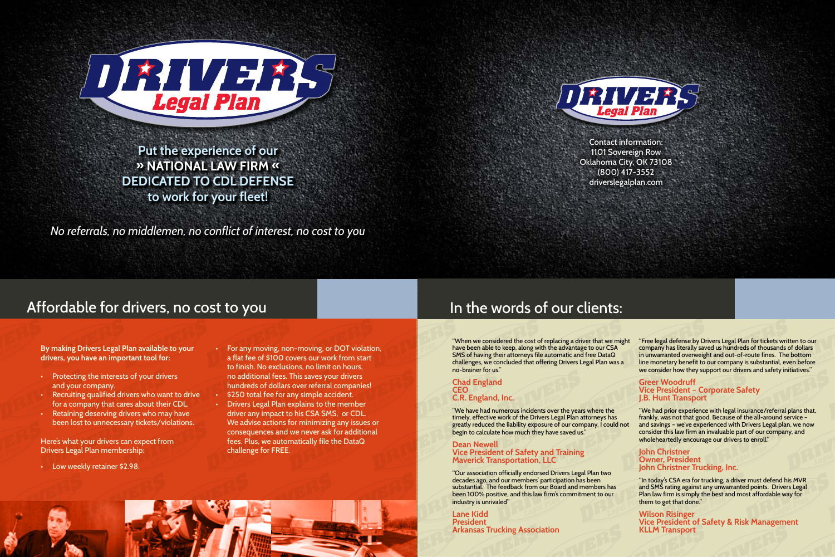**Chad England CEO C.R. England, Inc.**

"We have had numerous incidents over the years where the timely, effective work of the Drivers Legal Plan attorneys has greatly reduced the liability exposure of our company. I could not begin to calculate how much they have saved us."

#### **Dean Newell Vice President of Safety and Training Maverick Transportation, LLC**

"When we considered the cost of replacing a driver that we might have been able to keep, along with the advantage to our CSA SMS of having their attorneys file automatic and free DataQ challenges, we concluded that offering Drivers Legal Plan was a no-brainer for us." "Free legal defense by Drivers Legal Plan for tickets written to our company has literally saved us hundreds of thousands of dollars in unwarranted overweight and out-of-route fines. The bottom line monetary benefit to our company is substantial, even before we consider how they support our drivers and safety initiatives."

> "We had prior experience with legal insurance/referral plans that, frankly, was not that good. Because of the all-around service – and savings – we've experienced with Drivers Legal plan, we now consider this law firm an invaluable part of our company, and wholeheartedly encourage our drivers to enroll."

"Our association officially endorsed Drivers Legal Plan two decades ago, and our members' participation has been substantial. The feedback from our Board and members has been 100% positive, and this law firm's commitment to our industry is unrivaled"

**Lane Kidd President Arkansas Trucking Association**



- Protecting the interests of your drivers and your company.
- Recruiting qualified drivers who want to drive for a company that cares about their CDL.
- Retaining deserving drivers who may have been lost to unnecessary tickets/violations.

### **Greer Woodruff Vice President – Corporate Safety J.B. Hunt Transport**

- For any moving, non-moving, or DOT violation, a flat fee of \$100 covers our work from start to finish. No exclusions, no limit on hours, no additional fees. This saves your drivers hundreds of dollars over referral companies! \$250 total fee for any simple accident.
- **Drivers Legal Plan explains to the member** driver any impact to his CSA SMS, or CDL. We advise actions for minimizing any issues or consequences and we never ask for additional fees. Plus, we automatically file the DataQ challenge for FREE.

#### **John Christner Owner, President John Christner Trucking, Inc.**

"In today's CSA era for trucking, a driver must defend his MVR and SMS rating against any unwarranted points. Drivers Legal Plan law firm is simply the best and most affordable way for them to get that done."

**Wilson Risinger Vice President of Safety & Risk Management KLLM Transport**

**By making Drivers Legal Plan available to your drivers, you have an important tool for:**

Here's what your drivers can expect from Drivers Legal Plan membership:

• Low weekly retainer \$2.98.

Contact information: 1101 Sovereign Row Oklahoma City, OK 73108 (800) 417-3552 driverslegalplan.com



**Put the experience of our » NATIONAL LAW FIRM « DEDICATED TO CDL DEFENSE to work for your fleet!**

*No referrals, no middlemen, no conflict of interest, no cost to you*

## Affordable for drivers, no cost to you In the words of our clients: